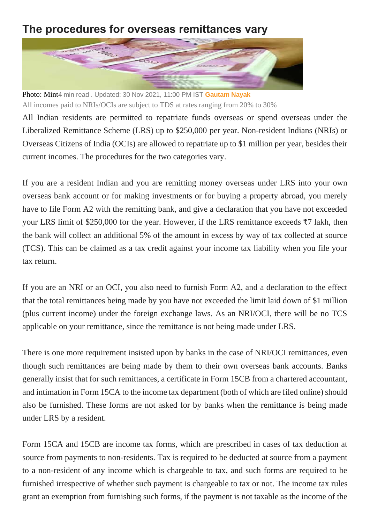## **The procedures for overseas remittances vary**



Photo: Mint4 min read . Updated: 30 Nov 2021, 11:00 PM IST **[Gautam Nayak](https://www.livemint.com/Search/Link/Author/Gautam-Nayak)** All incomes paid to NRIs/OCIs are subject to TDS at rates ranging from 20% to 30%

All Indian residents are permitted to repatriate funds overseas or spend overseas under the Liberalized Remittance Scheme (LRS) up to \$250,000 per year. Non-resident Indians (NRIs) or Overseas Citizens of India (OCIs) are allowed to repatriate up to \$1 million per year, besides their current incomes. The procedures for the two categories vary.

If you are a resident Indian and you are remitting money overseas under LRS into your own overseas bank account or for making investments or for buying a property abroad, you merely have to file Form A2 with the remitting bank, and give a declaration that you have not exceeded your LRS limit of \$250,000 for the year. However, if the LRS remittance exceeds ₹7 lakh, then the bank will collect an additional 5% of the amount in excess by way of tax collected at source (TCS). This can be claimed as a tax credit against your income tax liability when you file your tax return.

If you are an NRI or an OCI, you also need to furnish Form A2, and a declaration to the effect that the total remittances being made by you have not exceeded the limit laid down of \$1 million (plus current income) under the foreign exchange laws. As an NRI/OCI, there will be no TCS applicable on your remittance, since the remittance is not being made under LRS.

There is one more requirement insisted upon by banks in the case of NRI/OCI remittances, even though such remittances are being made by them to their own overseas bank accounts. Banks generally insist that for such remittances, a certificate in Form 15CB from a chartered accountant, and intimation in Form 15CA to the income tax department (both of which are filed online) should also be furnished. These forms are not asked for by banks when the remittance is being made under LRS by a resident.

Form 15CA and 15CB are income tax forms, which are prescribed in cases of tax deduction at source from payments to non-residents. Tax is required to be deducted at source from a payment to a non-resident of any income which is chargeable to tax, and such forms are required to be furnished irrespective of whether such payment is chargeable to tax or not. The income tax rules grant an exemption from furnishing such forms, if the payment is not taxable as the income of the